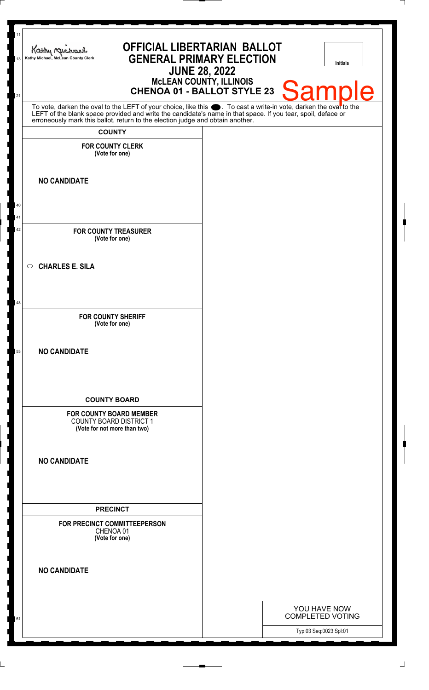| 11<br><b>OFFICIAL LIBERTARIAN BALLOT</b><br>Kathy Mich<br><b>GENERAL PRIMARY ELECTION</b><br>Kathy Michael, McLean County Clerk<br>13<br><b>JUNE 28, 2022</b><br>McLEAN COUNTY, ILLINOIS<br>CHENOA 01 - BALLOT STYLE 23                                                                                                      | <b>Initials</b><br><b>Sample</b>        |
|------------------------------------------------------------------------------------------------------------------------------------------------------------------------------------------------------------------------------------------------------------------------------------------------------------------------------|-----------------------------------------|
| 21<br>To vote, darken the oval to the LEFT of your choice, like this $\bullet$ . To cast a write-in vote, darken the ovar to the LEFT of the blank space provided and write the candidate's name in that space. If you tear, spoil, deface<br>erroneously mark this ballot, return to the election judge and obtain another. |                                         |
| <b>COUNTY</b><br><b>FOR COUNTY CLERK</b>                                                                                                                                                                                                                                                                                     |                                         |
| (Vote for one)                                                                                                                                                                                                                                                                                                               |                                         |
| <b>NO CANDIDATE</b>                                                                                                                                                                                                                                                                                                          |                                         |
| 40                                                                                                                                                                                                                                                                                                                           |                                         |
| 41                                                                                                                                                                                                                                                                                                                           |                                         |
| 42<br><b>FOR COUNTY TREASURER</b><br>(Vote for one)                                                                                                                                                                                                                                                                          |                                         |
| <b>CHARLES E. SILA</b><br>$\circ$                                                                                                                                                                                                                                                                                            |                                         |
| 48                                                                                                                                                                                                                                                                                                                           |                                         |
| <b>FOR COUNTY SHERIFF</b><br>(Vote for one)                                                                                                                                                                                                                                                                                  |                                         |
| <b>NO CANDIDATE</b><br>53                                                                                                                                                                                                                                                                                                    |                                         |
| <b>COUNTY BOARD</b>                                                                                                                                                                                                                                                                                                          |                                         |
| <b>FOR COUNTY BOARD MEMBER</b><br><b>COUNTY BOARD DISTRICT 1</b><br>(Vote for not more than two)                                                                                                                                                                                                                             |                                         |
| <b>NO CANDIDATE</b>                                                                                                                                                                                                                                                                                                          |                                         |
| <b>PRECINCT</b>                                                                                                                                                                                                                                                                                                              |                                         |
| FOR PRECINCT COMMITTEEPERSON<br>CHENOA 01<br>(Vote for one)                                                                                                                                                                                                                                                                  |                                         |
| <b>NO CANDIDATE</b>                                                                                                                                                                                                                                                                                                          |                                         |
|                                                                                                                                                                                                                                                                                                                              |                                         |
| 61                                                                                                                                                                                                                                                                                                                           | YOU HAVE NOW<br><b>COMPLETED VOTING</b> |
|                                                                                                                                                                                                                                                                                                                              | Typ:03 Seq:0023 Spl:01                  |